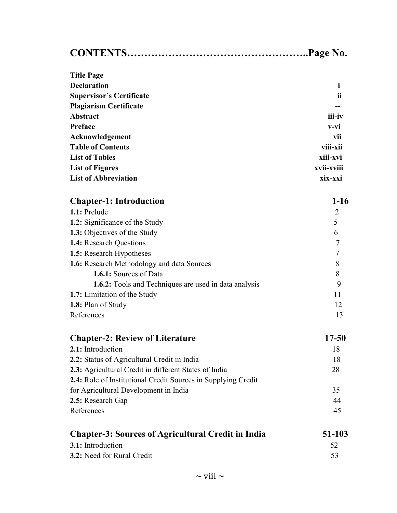| <b>Title Page</b>                                             |                |
|---------------------------------------------------------------|----------------|
| <b>Declaration</b>                                            | $\mathbf i$    |
| <b>Supervisor's Certificate</b>                               | ii             |
| <b>Plagiarism Certificate</b>                                 |                |
| <b>Abstract</b>                                               | iii-iv         |
| Preface                                                       | v-vi           |
| Acknowledgement                                               | vii            |
| <b>Table of Contents</b>                                      | viii-xii       |
| <b>List of Tables</b>                                         | xiii-xvi       |
| <b>List of Figures</b>                                        | xvii-xviii     |
| <b>List of Abbreviation</b>                                   | xix-xxi        |
| <b>Chapter-1: Introduction</b>                                | $1-16$         |
| 1.1: Prelude                                                  | $\overline{2}$ |
| 1.2: Significance of the Study                                | 5              |
| 1.3: Objectives of the Study                                  | 6              |
| 1.4: Research Questions                                       | $\tau$         |
| 1.5: Research Hypotheses                                      | $\tau$         |
| 1.6: Research Methodology and data Sources                    | 8              |
| 1.6.1: Sources of Data                                        | 8              |
| 1.6.2: Tools and Techniques are used in data analysis         | 9              |
| 1.7: Limitation of the Study                                  | 11             |
| 1.8: Plan of Study                                            | 12             |
| References                                                    | 13             |
| <b>Chapter-2: Review of Literature</b>                        | 17-50          |
| 2.1: Introduction                                             | 18             |
| 2.2: Status of Agricultural Credit in India                   | 18             |
| 2.3: Agricultural Credit in different States of India         | 28             |
| 2.4: Role of Institutional Credit Sources in Supplying Credit |                |
| for Agricultural Development in India                         | 35             |
| 2.5: Research Gap                                             | 44             |
| References                                                    | 45             |
| <b>Chapter-3: Sources of Agricultural Credit in India</b>     | 51-103         |
| 3.1: Introduction                                             | 52             |
| 3.2: Need for Rural Credit                                    | 53             |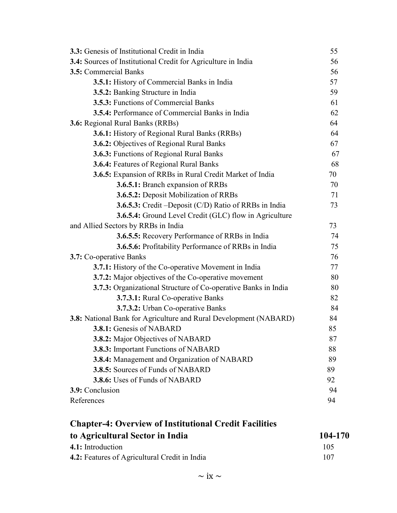| 3.3: Genesis of Institutional Credit in India                     | 55 |
|-------------------------------------------------------------------|----|
| 3.4: Sources of Institutional Credit for Agriculture in India     | 56 |
| 3.5: Commercial Banks                                             | 56 |
| 3.5.1: History of Commercial Banks in India                       | 57 |
| 3.5.2: Banking Structure in India                                 | 59 |
| 3.5.3: Functions of Commercial Banks                              | 61 |
| 3.5.4: Performance of Commercial Banks in India                   | 62 |
| 3.6: Regional Rural Banks (RRBs)                                  | 64 |
| <b>3.6.1:</b> History of Regional Rural Banks (RRBs)              | 64 |
| 3.6.2: Objectives of Regional Rural Banks                         | 67 |
| 3.6.3: Functions of Regional Rural Banks                          | 67 |
| 3.6.4: Features of Regional Rural Banks                           | 68 |
| 3.6.5: Expansion of RRBs in Rural Credit Market of India          | 70 |
| 3.6.5.1: Branch expansion of RRBs                                 | 70 |
| 3.6.5.2: Deposit Mobilization of RRBs                             | 71 |
| <b>3.6.5.3:</b> Credit – Deposit (C/D) Ratio of RRBs in India     | 73 |
| 3.6.5.4: Ground Level Credit (GLC) flow in Agriculture            |    |
| and Allied Sectors by RRBs in India                               | 73 |
| 3.6.5.5: Recovery Performance of RRBs in India                    | 74 |
| 3.6.5.6: Profitability Performance of RRBs in India               | 75 |
| 3.7: Co-operative Banks                                           | 76 |
| <b>3.7.1:</b> History of the Co-operative Movement in India       | 77 |
| 3.7.2: Major objectives of the Co-operative movement              | 80 |
| 3.7.3: Organizational Structure of Co-operative Banks in India    | 80 |
| 3.7.3.1: Rural Co-operative Banks                                 | 82 |
| 3.7.3.2: Urban Co-operative Banks                                 | 84 |
| 3.8: National Bank for Agriculture and Rural Development (NABARD) | 84 |
| 3.8.1: Genesis of NABARD                                          | 85 |
| 3.8.2: Major Objectives of NABARD                                 | 87 |
| 3.8.3: Important Functions of NABARD                              | 88 |
| 3.8.4: Management and Organization of NABARD                      | 89 |
| 3.8.5: Sources of Funds of NABARD                                 | 89 |
| 3.8.6: Uses of Funds of NABARD                                    | 92 |
| 3.9: Conclusion                                                   | 94 |
| References                                                        | 94 |

## Chapter-4: Overview of Institutional Credit Facilities to Agricultural Sector in India 104-170 4.1: Introduction 105 4.2: Features of Agricultural Credit in India 107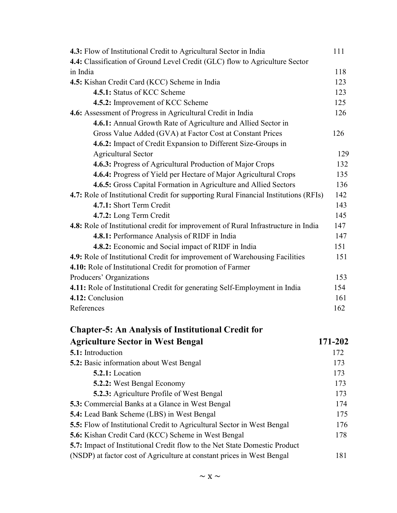| 4.3: Flow of Institutional Credit to Agricultural Sector in India                    | 111 |
|--------------------------------------------------------------------------------------|-----|
| 4.4: Classification of Ground Level Credit (GLC) flow to Agriculture Sector          |     |
| in India                                                                             | 118 |
| 4.5: Kishan Credit Card (KCC) Scheme in India                                        | 123 |
| 4.5.1: Status of KCC Scheme                                                          | 123 |
| 4.5.2: Improvement of KCC Scheme                                                     | 125 |
| 4.6: Assessment of Progress in Agricultural Credit in India                          | 126 |
| 4.6.1: Annual Growth Rate of Agriculture and Allied Sector in                        |     |
| Gross Value Added (GVA) at Factor Cost at Constant Prices                            | 126 |
| 4.6.2: Impact of Credit Expansion to Different Size-Groups in                        |     |
| <b>Agricultural Sector</b>                                                           | 129 |
| 4.6.3: Progress of Agricultural Production of Major Crops                            | 132 |
| 4.6.4: Progress of Yield per Hectare of Major Agricultural Crops                     | 135 |
| 4.6.5: Gross Capital Formation in Agriculture and Allied Sectors                     | 136 |
| 4.7: Role of Institutional Credit for supporting Rural Financial Institutions (RFIs) | 142 |
| 4.7.1: Short Term Credit                                                             | 143 |
| 4.7.2: Long Term Credit                                                              | 145 |
| 4.8: Role of Institutional credit for improvement of Rural Infrastructure in India   | 147 |
| 4.8.1: Performance Analysis of RIDF in India                                         | 147 |
| 4.8.2: Economic and Social impact of RIDF in India                                   | 151 |
| 4.9: Role of Institutional Credit for improvement of Warehousing Facilities          | 151 |
| 4.10: Role of Institutional Credit for promotion of Farmer                           |     |
| Producers' Organizations                                                             | 153 |
| 4.11: Role of Institutional Credit for generating Self-Employment in India           | 154 |
| 4.12: Conclusion                                                                     | 161 |
| References                                                                           | 162 |
|                                                                                      |     |

| <b>Agriculture Sector in West Bengal</b>                                   | 171-202 |
|----------------------------------------------------------------------------|---------|
| 5.1: Introduction                                                          | 172     |
| <b>5.2:</b> Basic information about West Bengal                            | 173     |
| 5.2.1: Location                                                            | 173     |
| <b>5.2.2:</b> West Bengal Economy                                          | 173     |
| <b>5.2.3:</b> Agriculture Profile of West Bengal                           | 173     |
| <b>5.3:</b> Commercial Banks at a Glance in West Bengal                    | 174     |
| <b>5.4:</b> Lead Bank Scheme (LBS) in West Bengal                          | 175     |
| 5.5: Flow of Institutional Credit to Agricultural Sector in West Bengal    | 176     |
| <b>5.6:</b> Kishan Credit Card (KCC) Scheme in West Bengal                 | 178     |
| 5.7: Impact of Institutional Credit flow to the Net State Domestic Product |         |
| (NSDP) at factor cost of Agriculture at constant prices in West Bengal     | 181     |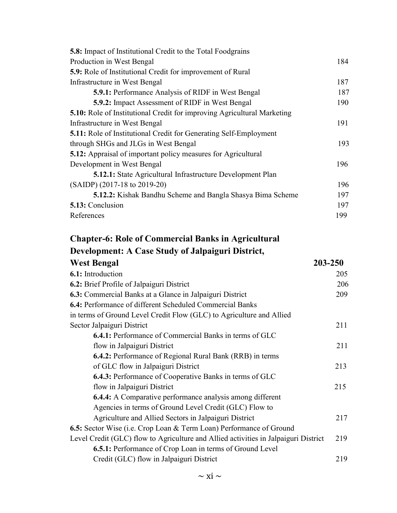| <b>5.8:</b> Impact of Institutional Credit to the Total Foodgrains             |     |
|--------------------------------------------------------------------------------|-----|
| Production in West Bengal                                                      | 184 |
| <b>5.9:</b> Role of Institutional Credit for improvement of Rural              |     |
| Infrastructure in West Bengal                                                  | 187 |
| <b>5.9.1:</b> Performance Analysis of RIDF in West Bengal                      | 187 |
| <b>5.9.2:</b> Impact Assessment of RIDF in West Bengal                         | 190 |
| <b>5.10:</b> Role of Institutional Credit for improving Agricultural Marketing |     |
| Infrastructure in West Bengal                                                  | 191 |
| <b>5.11:</b> Role of Institutional Credit for Generating Self-Employment       |     |
| through SHGs and JLGs in West Bengal                                           | 193 |
| <b>5.12:</b> Appraisal of important policy measures for Agricultural           |     |
| Development in West Bengal                                                     | 196 |
| <b>5.12.1:</b> State Agricultural Infrastructure Development Plan              |     |
| $(SAIDP)$ (2017-18 to 2019-20)                                                 | 196 |
| <b>5.12.2:</b> Kishak Bandhu Scheme and Bangla Shasya Bima Scheme              | 197 |
| 5.13: Conclusion                                                               | 197 |
| References                                                                     | 199 |
|                                                                                |     |

| <b>Chapter-6: Role of Commercial Banks in Agricultural</b>                          |         |
|-------------------------------------------------------------------------------------|---------|
| Development: A Case Study of Jalpaiguri District,                                   |         |
| <b>West Bengal</b>                                                                  | 203-250 |
| 6.1: Introduction                                                                   | 205     |
| 6.2: Brief Profile of Jalpaiguri District                                           | 206     |
| 6.3: Commercial Banks at a Glance in Jalpaiguri District                            | 209     |
| <b>6.4:</b> Performance of different Scheduled Commercial Banks                     |         |
| in terms of Ground Level Credit Flow (GLC) to Agriculture and Allied                |         |
| Sector Jalpaiguri District                                                          | 211     |
| <b>6.4.1:</b> Performance of Commercial Banks in terms of GLC                       |         |
| flow in Jalpaiguri District                                                         | 211     |
| <b>6.4.2:</b> Performance of Regional Rural Bank (RRB) in terms                     |         |
| of GLC flow in Jalpaiguri District                                                  | 213     |
| <b>6.4.3:</b> Performance of Cooperative Banks in terms of GLC                      |         |
| flow in Jalpaiguri District                                                         | 215     |
| <b>6.4.4:</b> A Comparative performance analysis among different                    |         |
| Agencies in terms of Ground Level Credit (GLC) Flow to                              |         |
| Agriculture and Allied Sectors in Jalpaiguri District                               | 217     |
| 6.5: Sector Wise (i.e. Crop Loan & Term Loan) Performance of Ground                 |         |
| Level Credit (GLC) flow to Agriculture and Allied activities in Jalpaiguri District | 219     |
| <b>6.5.1:</b> Performance of Crop Loan in terms of Ground Level                     |         |
| Credit (GLC) flow in Jalpaiguri District                                            | 219     |